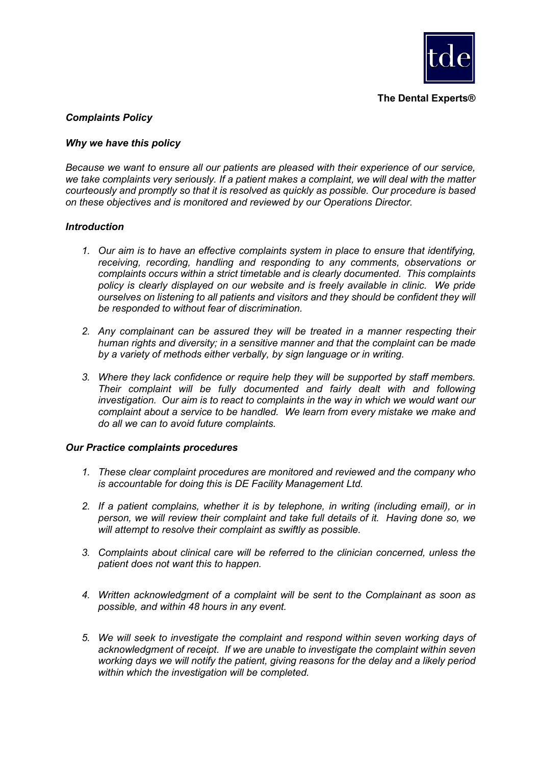

**The Dental Experts®**

# *Complaints Policy*

## *Why we have this policy*

*Because we want to ensure all our patients are pleased with their experience of our service, we take complaints very seriously. If a patient makes a complaint, we will deal with the matter courteously and promptly so that it is resolved as quickly as possible. Our procedure is based on these objectives and is monitored and reviewed by our Operations Director.*

### *Introduction*

- *1. Our aim is to have an effective complaints system in place to ensure that identifying, receiving, recording, handling and responding to any comments, observations or complaints occurs within a strict timetable and is clearly documented. This complaints policy is clearly displayed on our website and is freely available in clinic. We pride ourselves on listening to all patients and visitors and they should be confident they will be responded to without fear of discrimination.*
- *2. Any complainant can be assured they will be treated in a manner respecting their human rights and diversity; in a sensitive manner and that the complaint can be made by a variety of methods either verbally, by sign language or in writing.*
- *3. Where they lack confidence or require help they will be supported by staff members. Their complaint will be fully documented and fairly dealt with and following investigation. Our aim is to react to complaints in the way in which we would want our complaint about a service to be handled. We learn from every mistake we make and do all we can to avoid future complaints.*

#### *Our Practice complaints procedures*

- *1. These clear complaint procedures are monitored and reviewed and the company who is accountable for doing this is DE Facility Management Ltd.*
- *2. If a patient complains, whether it is by telephone, in writing (including email), or in person, we will review their complaint and take full details of it. Having done so, we will attempt to resolve their complaint as swiftly as possible.*
- *3. Complaints about clinical care will be referred to the clinician concerned, unless the patient does not want this to happen.*
- *4. Written acknowledgment of a complaint will be sent to the Complainant as soon as possible, and within 48 hours in any event.*
- *5. We will seek to investigate the complaint and respond within seven working days of acknowledgment of receipt. If we are unable to investigate the complaint within seven working days we will notify the patient, giving reasons for the delay and a likely period within which the investigation will be completed.*